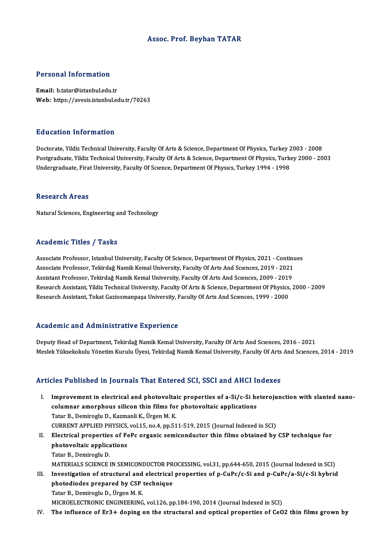# Assoc. Prof. Beyhan TATAR

## Personal Information

Email: b.tatar@istanbul.edu.tr Web: https://avesis.istanbul.edu.tr/70263

### Education Information

Doctorate, Yildiz Technical University, Faculty Of Arts & Science, Department Of Physics, Turkey 2003 - 2008 Postgraduate, Yildiz Technical University, Faculty Of Arts & Science, Department Of Physics, Turkey 2000 - 2003 Undergraduate, Firat University, Faculty Of Science, Department Of Physics, Turkey 1994 - 1998

### **Research Areas**

Natural Sciences, Engineering and Technology

## Academic Titles / Tasks

Associate Professor, Istanbul University, Faculty Of Science, Department Of Physics, 2021 - Continues Associate Professor, Istanbul University, Faculty Of Science, Department Of Physics, 2021 - Continu<br>Associate Professor, Tekirdağ Namik Kemal University, Faculty Of Arts And Sciences, 2019 - 2021<br>Assistant Professor, Tekir Associate Professor, Istanbul University, Faculty Of Science, Department Of Physics, 2021 - Contin<br>Associate Professor, Tekirdağ Namik Kemal University, Faculty Of Arts And Sciences, 2019 - 2021<br>Assistant Professor, Tekird Assistant Professor, Tekirdağ Namik Kemal University, Faculty Of Arts And Sciences, 2009 - 2019<br>Research Assistant, Yildiz Technical University, Faculty Of Arts & Science, Department Of Physics, 2000 - 2009 Research Assistant, Tokat Gaziosmanpaşa University, Faculty Of Arts And Sciences, 1999 - 2000

### Academic and Administrative Experience

Deputy Head of Department, Tekirdağ Namik Kemal University, Faculty Of Arts And Sciences, 2016 - 2021 Meslek Yüksekokulu Yönetim Kurulu Üyesi, Tekirdağ Namik Kemal University, Faculty Of Arts And Scıences, 2014 - 2019

# Articles Published in Journals That Entered SCI, SSCI and AHCI Indexes

- rticles Published in Journals That Entered SCI, SSCI and AHCI Indexes<br>I. Improvement in electrical and photovoltaic properties of a-Si/c-Si heterojunction with slanted nano-<br>columnar amerybous silicen thin films for photov Improvement in electrical and photovoltaic properties of a-Si/c-Si he<br>columnar amorphous silicon thin films for photovoltaic applications<br>Tatar B. Dominagly D. Karmanli K. Ürgen M. K. Improvement in electrical and photovolta:<br>columnar amorphous silicon thin films for<br>Tatar B., Demiroglu D., Kazmanli K., Ürgen M. K.<br>CURRENT ARRUED BHYSICS vol 15 no.4 nn 51 columnar amorphous silicon thin films for photovoltaic applications<br>Tatar B., Demiroglu D., Kazmanli K., Ürgen M. K.<br>CURRENT APPLIED PHYSICS, vol.15, no.4, pp.511-519, 2015 (Journal Indexed in SCI)<br>Flectrical proporties of Tatar B., Demiroglu D., Kazmanli K., Ürgen M. K.<br>CURRENT APPLIED PHYSICS, vol.15, no.4, pp.511-519, 2015 (Journal Indexed in SCI)<br>II. Electrical properties of FePc organic semiconductor thin films obtained by CSP technique
- CURRENT APPLIED PHYSICS,<br>Electrical properties of Fe<br>photovoltaic applications<br>Tatar B. Demirecly D. Electrical propertie:<br>photovoltaic applica<br>Tatar B., Demiroglu D.<br>MATEPIALS SCIENCE I photovoltaic applications<br>Tatar B., Demiroglu D.<br>MATERIALS SCIENCE IN SEMICONDUCTOR PROCESSING, vol.31, pp.644-650, 2015 (Journal Indexed in SCI)<br>Investigation of structural and electrical properties of n GuBa/a Si and n G Tatar B., Demiroglu D.<br>MATERIALS SCIENCE IN SEMICONDUCTOR PROCESSING, vol.31, pp.644-650, 2015 (Journal Indexed in SCI)<br>III. Investigation of structural and electrical properties of p-CuPc/c-Si and p-CuPc/a-Si/c-Si hybrid<br>
- MATERIALS SCIENCE IN SEMICONDUCTOR PR<br>Investigation of structural and electrical<br>photodiodes prepared by CSP technique<br>Tatar B. Deminesly D. Ürger M. K. Investigation of structural and<br>photodiodes prepared by CSP<br>Tatar B., Demiroglu D., Ürgen M. K.<br>MICROEL ECTRONIC ENCINEERING photodiodes prepared by CSP technique<br>Tatar B., Demiroglu D., Ürgen M. K.<br>MICROELECTRONIC ENGINEERING, vol.126, pp.184-190, 2014 (Journal Indexed in SCI)

IV. The influence of Er3+ doping on the structural and optical properties of CeO2 thin films grown by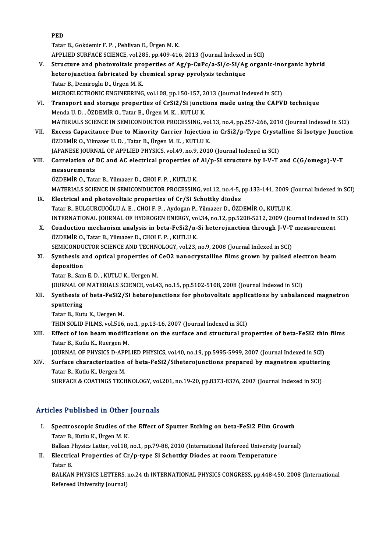TatarB.,Gokdemir F.P. ,PehlivanE.,ÜrgenM.K. APPLIED SURFACE SCIENCE, vol.285, pp.409-416, 2013 (Journal Indexed in SCI) Tatar B., Gokdemir F. P. , Pehlivan E., Ürgen M. K.<br>APPLIED SURFACE SCIENCE, vol.285, pp.409-416, 2013 (Journal Indexed in SCI)<br>V. Structure and photovoltaic properties of Ag/p-CuPc/a-Si/c-Si/Ag organic-inorganic hybrid<br>be APPLIED SURFACE SCIENCE, vol.285, pp.409-416, 2013 (Journal Indexed<br>Structure and photovoltaic properties of Ag/p-CuPc/a-Si/c-Si/Ag<br>heterojunction fabricated by chemical spray pyrolysis technique<br>Tatar B. Domiroslu D. Ürse Structure and photovoltaic pro<br>heterojunction fabricated by cl<br>Tatar B., Demiroglu D., Ürgen M. K.<br>MICROEL ECTRONIC ENCINEERINC heterojunction fabricated by chemical spray pyrolysis technique<br>Tatar B., Demiroglu D., Ürgen M. K.<br>MICROELECTRONIC ENGINEERING, vol.108, pp.150-157, 2013 (Journal Indexed in SCI)<br>Transport and storage preporties of CrSi2 Tatar B., Demiroglu D., Ürgen M. K.<br>MICROELECTRONIC ENGINEERING, vol.108, pp.150-157, 2013 (Journal Indexed in SCI)<br>VI. Transport and storage properties of CrSi2/Si junctions made using the CAPVD technique<br>Menda U. D., ÖZD

- MICROELECTRONIC ENGINEERING, vol.108, pp.150-157, 2<br>Transport and storage properties of CrSi2/Si juncti<br>Menda U. D., ÖZDEMİR O., Tatar B., Ürgen M. K., KUTLU K.<br>MATERIALS SCIENCE IN SEMICONDUCTOR PROCESSINC MATERIALS SCIENCE IN SEMICONDUCTOR PROCESSING, vol.13, no.4, pp.257-266, 2010 (Journal Indexed in SCI) Menda U. D. , ÖZDEMİR O., Tatar B., Ürgen M. K. , KUTLU K.<br>MATERIALS SCIENCE IN SEMICONDUCTOR PROCESSING, vol.13, no.4, pp.257-266, 2010 (Journal Indexed in SCI)<br>VII. Excess Capacitance Due to Minority Carrier Injection in
- MATERIALS SCIENCE IN SEMICONDUCTOR PROCESSING, vol<br>Excess Capacitance Due to Minority Carrier Injection<br>ÖZDEMİR O., Yilmazer U.D., Tatar B., Ürgen M. K., KUTLU K.<br>LABANESE JOURNAL OF APPLIED BUYSICS vol 49, p.o.9, 2014 Excess Capacitance Due to Minority Carrier Injection in CrSi2/p-Type Crysta<br>ÖZDEMİR O., Yilmazer U. D. , Tatar B., Ürgen M. K. , KUTLU K.<br>JAPANESE JOURNAL OF APPLIED PHYSICS, vol.49, no.9, 2010 (Journal Indexed in SCI)<br>Cor ÖZDEMİR O., Yilmazer U. D. , Tatar B., Ürgen M. K. , KUTLU K.<br>JAPANESE JOURNAL OF APPLIED PHYSICS, vol.49, no.9, 2010 (Journal Indexed in SCI)<br>VIII. Correlation of DC and AC electrical properties of Al/p-Si structure b
- JAPANESE JOURN<br>Correlation of<br>measurements<br>ÖZDEMIR O-Tete Correlation of DC and AC electrical properties of<br>measurements<br>ÖZDEMİR O., Tatar B., Yilmazer D., CHOI F. P. , KUTLU K.<br>MATERIAL S SCIENCE IN SEMICONDUCTOR PROCESSING

measurements<br>ÖZDEMİR O., Tatar B., Yilmazer D., CHOI F. P. , KUTLU K.<br>MATERIALS SCIENCE IN SEMICONDUCTOR PROCESSING, vol.12, no.4-5, pp.133-141, 2009 (Journal Indexed in SCI)<br>Flastnisel and photovoltais proporties of Cr.(S ÖZDEMİR O., Tatar B., Yilmazer D., CHOI F. P. , KUTLU K.<br>MATERIALS SCIENCE IN SEMICONDUCTOR PROCESSING, vol.12, no.4-5, pp.133-141, 2009 (<br>IX. Electrical and photovoltaic properties of Cr/Si Schottky diodes<br>Tatar B., BULGU

- MATERIALS SCIENCE IN SEMICONDUCTOR PROCESSING, vol.12, no.4-5, pp.133-141, 2009 (<br>Electrical and photovoltaic properties of Cr/Si Schottky diodes<br>Tatar B., BULGURCUOĞLU A. E. , CHOI F. P. , Aydogan P., Yilmazer D., ÖZDEMİR Electrical and photovoltaic properties of Cr/Si Schottky diodes<br>Tatar B., BULGURCUOĞLU A. E. , CHOI F. P. , Aydogan P., Yilmazer D., ÖZDEMİR O., KUTLU K.<br>INTERNATIONAL JOURNAL OF HYDROGEN ENERGY, vol.34, no.12, pp.5208-521 Tatar B., BULGURCUOĞLU A. E. , CHOI F. P. , Aydogan P., Yilmazer D., ÖZDEMİR O., KUTLU K.<br>INTERNATIONAL JOURNAL OF HYDROGEN ENERGY, vol.34, no.12, pp.5208-5212, 2009 (Journal Indexed in<br>X. Conduction mechanism analysis in
- INTERNATIONAL JOURNAL OF HYDROGEN ENERGY, vo<br>Conduction mechanism analysis in beta-FeSi2/n-<br>ÖZDEMİR O., Tatar B., Yilmazer D., CHOI F. P. , KUTLU K.<br>SEMICONDUCTOR SCIENCE AND TECHNOLOCY vol 22 Conduction mechanism analysis in beta-FeSi2/n-Si heterojunction through J-V-T<br>ÖZDEMİR O., Tatar B., Yilmazer D., CHOI F. P. , KUTLU K.<br>SEMICONDUCTOR SCIENCE AND TECHNOLOGY, vol.23, no.9, 2008 (Journal Indexed in SCI)<br>Synth ÖZDEMİR O., Tatar B., Yilmazer D., CHOI F. P. , KUTLU K.<br>SEMICONDUCTOR SCIENCE AND TECHNOLOGY, vol.23, no.9, 2008 (Journal Indexed in SCI)<br>XI. Synthesis and optical properties of CeO2 nanocrystalline films grown by pulsed
- SEMICONDU<br>Synthesis a<br>deposition<br>Tatar B. Sam Synthesis and optical properties of<br>deposition<br>Tatar B., Sam E. D. , KUTLU K., Uergen M.<br>JOUPMAL OF MATERIALS SCIENCE vol.4

deposition<br>Tatar B., Sam E. D. , KUTLU K., Uergen M.<br>JOURNAL OF MATERIALS SCIENCE, vol.43, no.15, pp.5102-5108, 2008 (Journal Indexed in SCI)<br>Synthesis of beta EeSi? (Si betereiungtions for photoveltais annlisations by unb Tatar B., Sam E. D. , KUTLU K., Uergen M.<br>JOURNAL OF MATERIALS SCIENCE, vol.43, no.15, pp.5102-5108, 2008 (Journal Indexed in SCI)<br>XII. Synthesis of beta-FeSi2/Si heterojunctions for photovoltaic applications by unbalanced

# JOURNAL OF<br>Synthesis c<br>sputtering<br>Totar B. Kut

Tatar B., Kutu K., Uergen M.

THIN SOLID FILMS, vol.516, no.1, pp.13-16, 2007 (Journal Indexed in SCI)

Tatar B., Kutu K., Uergen M.<br>THIN SOLID FILMS, vol.516, no.1, pp.13-16, 2007 (Journal Indexed in SCI)<br>XIII. Effect of ion beam modifications on the surface and structural properties of beta-FeSi2 thin films<br>Tatar B. Kutly THIN SOLID FILMS, vol.516, n<br>Effect of ion beam modific<br>Tatar B., Kutlu K., Ruergen M.<br>JOUPNAL OF BUYSICS D. APPI Effect of ion beam modifications on the surface and structural properties of beta-FeSi2 thin<br>Tatar B., Kutlu K., Ruergen M.<br>JOURNAL OF PHYSICS D-APPLIED PHYSICS, vol.40, no.19, pp.5995-5999, 2007 (Journal Indexed in SCI)<br>S

Tatar B., Kutlu K., Ruergen M.<br>JOURNAL OF PHYSICS D-APPLIED PHYSICS, vol.40, no.19, pp.5995-5999, 2007 (Journal Indexed in SCI)<br>XIV. Surface characterization of beta-FeSi2/Siheterojunctions prepared by magnetron sputtering **JOURNAL OF PHYSICS D-API<br>Surface characterization<br>Tatar B., Kutlu K., Uergen M.<br>SURFACE & COATINGS TECH** Surface characterization of beta-FeSi2/Siheterojunctions prepared by magnetron sputteri<br>Tatar B., Kutlu K., Uergen M.<br>SURFACE & COATINGS TECHNOLOGY, vol.201, no.19-20, pp.8373-8376, 2007 (Journal Indexed in SCI)

SURFACE & COATINGS TECHNOLOGY, vol.201, no.19-20, pp.8373-8376, 2007 (Journal Indexed in SCI)<br>Articles Published in Other Journals

rticles Published in Other Journals<br>I. Spectroscopic Studies of the Effect of Sputter Etching on beta-FeSi2 Film Growth<br>Tatar B. Kuthy K. Ürgen M. K. Spectroscopic Studies of t<br>Spectroscopic Studies of t<br>Tatar B., Kutlu K., Ürgen M. K.<br>Balkan Physics Latter vol 19 Spectroscopic Studies of the Effect of Sputter Etching on beta-FeSi2 Film Growth<br>Tatar B., Kutlu K., Ürgen M. K.<br>Balkan Physics Latter, vol.18, no.1, pp.79-88, 2010 (International Refereed University Journal)<br>Flectrical Pr

Tatar B., Kutlu K., Ürgen M. K.<br>Balkan Physics Latter, vol.18, no.1, pp.79-88, 2010 (International Refereed University<br>II. Electrical Properties of Cr/p-type Si Schottky Diodes at room Temperature<br>Tatar B. Balkan F<br><mark>Electric</mark><br>Tatar B.<br>BAJ KAN Electrical Properties of Cr/p-type Si Schottky Diodes at room Temperature<br>Tatar B.<br>BALKAN PHYSICS LETTERS, no.24 th INTERNATIONAL PHYSICS CONGRESS, pp.448-450, 2008 (International<br>Refereed University Journal)

Tatar B.<br>BALKAN PHYSICS LETTERS,<br>Refereed University Journal)

# PED